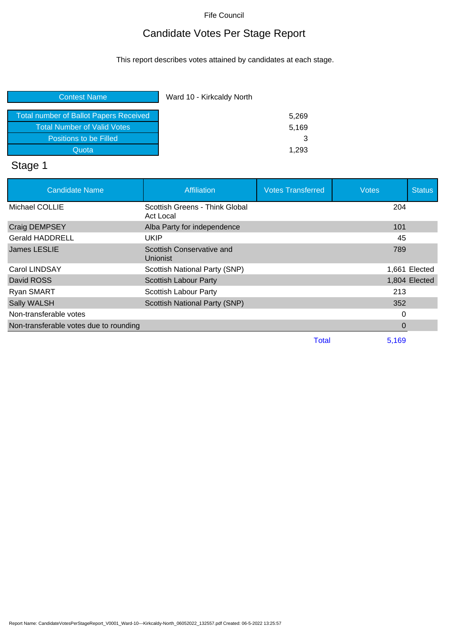# Candidate Votes Per Stage Report

This report describes votes attained by candidates at each stage.

| <b>Contest Name</b>                           | Ward 10 - Kirkcaldy North |
|-----------------------------------------------|---------------------------|
| <b>Total number of Ballot Papers Received</b> | 5,269                     |
| <b>Total Number of Valid Votes</b>            | 5,169                     |
| Positions to be Filled                        |                           |
| Quota                                         | 1.293                     |

# Stage 1

| <b>Candidate Name</b>                  | Affiliation                                  | <b>Votes Transferred</b> | <b>Votes</b> | <b>Status</b> |
|----------------------------------------|----------------------------------------------|--------------------------|--------------|---------------|
| Michael COLLIE                         | Scottish Greens - Think Global<br>Act Local  |                          | 204          |               |
| Craig DEMPSEY                          | Alba Party for independence                  |                          | 101          |               |
| <b>Gerald HADDRELL</b>                 | UKIP                                         |                          | 45           |               |
| James LESLIE                           | Scottish Conservative and<br><b>Unionist</b> |                          | 789          |               |
| Carol LINDSAY                          | Scottish National Party (SNP)                |                          |              | 1,661 Elected |
| David ROSS                             | Scottish Labour Party                        |                          |              | 1,804 Elected |
| Ryan SMART                             | Scottish Labour Party                        |                          | 213          |               |
| Sally WALSH                            | Scottish National Party (SNP)                |                          | 352          |               |
| Non-transferable votes                 |                                              |                          | 0            |               |
| Non-transferable votes due to rounding |                                              |                          | 0            |               |
|                                        |                                              | Total                    | 5,169        |               |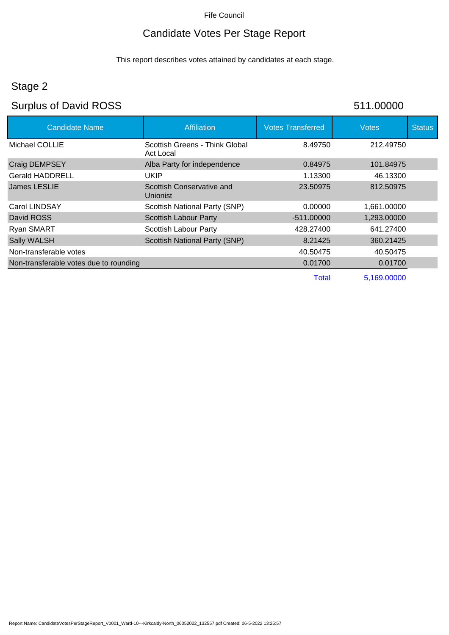#### Candidate Votes Per Stage Report

This report describes votes attained by candidates at each stage.

#### Stage 2

# Surplus of David ROSS 511.00000

| <b>Candidate Name</b>                  | <b>Affiliation</b>                          | <b>Votes Transferred</b> | <b>Votes</b> | <b>Status</b> |
|----------------------------------------|---------------------------------------------|--------------------------|--------------|---------------|
| Michael COLLIE                         | Scottish Greens - Think Global<br>Act Local | 8.49750                  | 212.49750    |               |
| Craig DEMPSEY                          | Alba Party for independence                 | 0.84975                  | 101.84975    |               |
| <b>Gerald HADDRELL</b>                 | UKIP                                        | 1.13300                  | 46.13300     |               |
| <b>James LESLIE</b>                    | Scottish Conservative and<br>Unionist       | 23.50975                 | 812.50975    |               |
| Carol LINDSAY                          | Scottish National Party (SNP)               | 0.00000                  | 1,661.00000  |               |
| David ROSS                             | <b>Scottish Labour Party</b>                | -511.00000               | 1,293.00000  |               |
| Ryan SMART                             | Scottish Labour Party                       | 428.27400                | 641.27400    |               |
| Sally WALSH                            | Scottish National Party (SNP)               | 8.21425                  | 360.21425    |               |
| Non-transferable votes                 |                                             | 40.50475                 | 40.50475     |               |
| Non-transferable votes due to rounding |                                             | 0.01700                  | 0.01700      |               |
|                                        |                                             | Total                    | 5,169.00000  |               |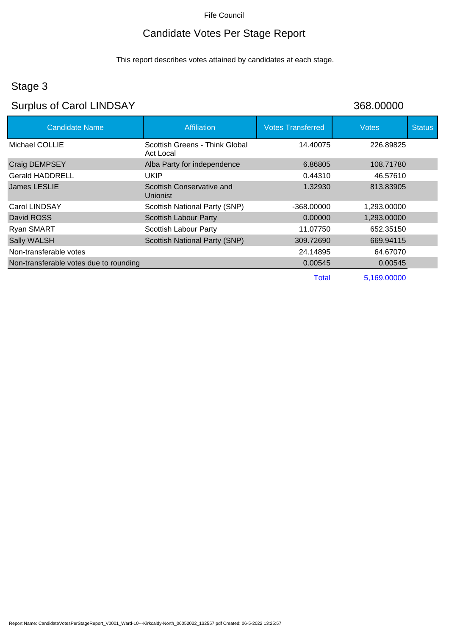# Candidate Votes Per Stage Report

This report describes votes attained by candidates at each stage.

# Stage 3

# Surplus of Carol LINDSAY 368.00000

| <b>Candidate Name</b>                  | <b>Affiliation</b>                           | <b>Votes Transferred</b> | <b>Votes</b> | <b>Status</b> |
|----------------------------------------|----------------------------------------------|--------------------------|--------------|---------------|
| Michael COLLIE                         | Scottish Greens - Think Global<br>Act Local  | 14.40075                 | 226.89825    |               |
| Craig DEMPSEY                          | Alba Party for independence                  | 6.86805                  | 108.71780    |               |
| Gerald HADDRELL                        | <b>UKIP</b>                                  | 0.44310                  | 46.57610     |               |
| James LESLIE                           | Scottish Conservative and<br><b>Unionist</b> | 1.32930                  | 813.83905    |               |
| Carol LINDSAY                          | Scottish National Party (SNP)                | -368.00000               | 1,293.00000  |               |
| David ROSS                             | <b>Scottish Labour Party</b>                 | 0.00000                  | 1,293.00000  |               |
| Ryan SMART                             | Scottish Labour Party                        | 11.07750                 | 652.35150    |               |
| Sally WALSH                            | Scottish National Party (SNP)                | 309.72690                | 669.94115    |               |
| Non-transferable votes                 |                                              | 24.14895                 | 64.67070     |               |
| Non-transferable votes due to rounding |                                              | 0.00545                  | 0.00545      |               |
|                                        |                                              | <b>Total</b>             | 5,169.00000  |               |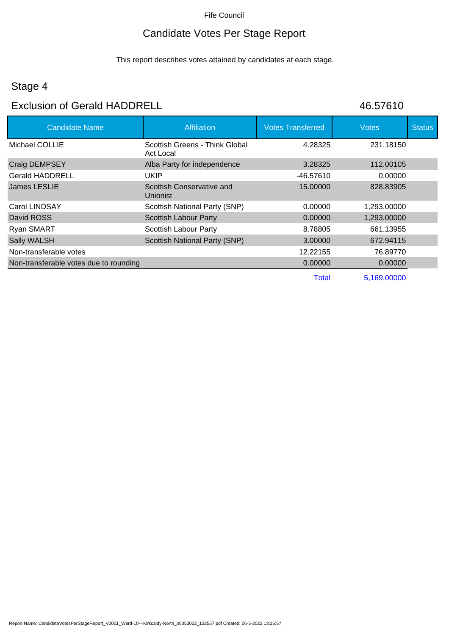# Candidate Votes Per Stage Report

This report describes votes attained by candidates at each stage.

# Stage 4

#### Exclusion of Gerald HADDRELL 46.57610

| <b>Candidate Name</b>                  | <b>Affiliation</b>                           | <b>Votes Transferred</b> | <b>Votes</b> | <b>Status</b> |
|----------------------------------------|----------------------------------------------|--------------------------|--------------|---------------|
| Michael COLLIE                         | Scottish Greens - Think Global<br>Act Local  | 4.28325                  | 231.18150    |               |
| <b>Craig DEMPSEY</b>                   | Alba Party for independence                  | 3.28325                  | 112.00105    |               |
| <b>Gerald HADDRELL</b>                 | <b>UKIP</b>                                  | -46.57610                | 0.00000      |               |
| James LESLIE                           | Scottish Conservative and<br><b>Unionist</b> | 15.00000                 | 828.83905    |               |
| Carol LINDSAY                          | Scottish National Party (SNP)                | 0.00000                  | 1,293.00000  |               |
| David ROSS                             | <b>Scottish Labour Party</b>                 | 0.00000                  | 1,293.00000  |               |
| <b>Ryan SMART</b>                      | <b>Scottish Labour Party</b>                 | 8.78805                  | 661.13955    |               |
| Sally WALSH                            | <b>Scottish National Party (SNP)</b>         | 3.00000                  | 672.94115    |               |
| Non-transferable votes                 |                                              | 12.22155                 | 76.89770     |               |
| Non-transferable votes due to rounding |                                              | 0.00000                  | 0.00000      |               |
|                                        |                                              | Total                    | 5,169.00000  |               |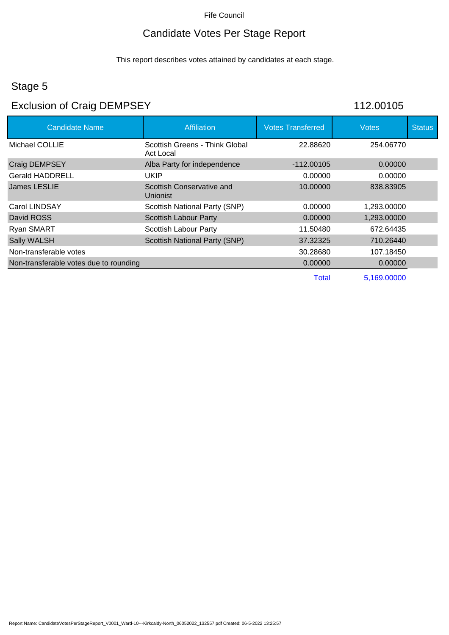# Candidate Votes Per Stage Report

This report describes votes attained by candidates at each stage.

#### Stage 5

# Exclusion of Craig DEMPSEY 112.00105

| <b>Candidate Name</b>                  | <b>Affiliation</b>                          | <b>Votes Transferred</b> | Votes       | <b>Status</b> |
|----------------------------------------|---------------------------------------------|--------------------------|-------------|---------------|
| Michael COLLIE                         | Scottish Greens - Think Global<br>Act Local | 22.88620                 | 254.06770   |               |
| <b>Craig DEMPSEY</b>                   | Alba Party for independence                 | $-112.00105$             | 0.00000     |               |
| <b>Gerald HADDRELL</b>                 | <b>UKIP</b>                                 | 0.00000                  | 0.00000     |               |
| James LESLIE                           | Scottish Conservative and<br>Unionist       | 10.00000                 | 838.83905   |               |
| Carol LINDSAY                          | Scottish National Party (SNP)               | 0.00000                  | 1,293.00000 |               |
| David ROSS                             | <b>Scottish Labour Party</b>                | 0.00000                  | 1,293.00000 |               |
| <b>Ryan SMART</b>                      | <b>Scottish Labour Party</b>                | 11.50480                 | 672.64435   |               |
| <b>Sally WALSH</b>                     | Scottish National Party (SNP)               | 37.32325                 | 710.26440   |               |
| Non-transferable votes                 |                                             | 30.28680                 | 107.18450   |               |
| Non-transferable votes due to rounding |                                             | 0.00000                  | 0.00000     |               |
|                                        |                                             | <b>Total</b>             | 5,169.00000 |               |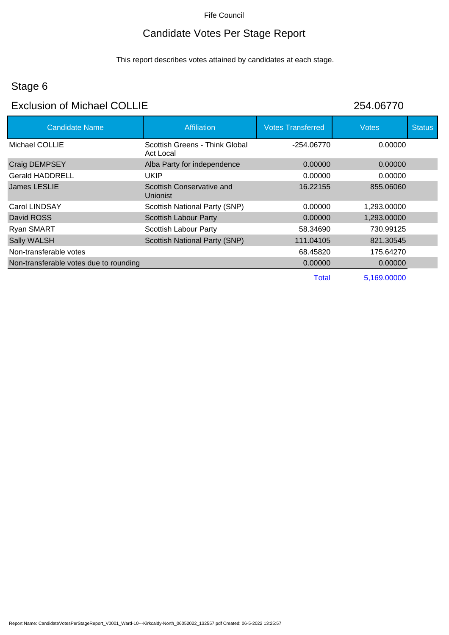# Candidate Votes Per Stage Report

This report describes votes attained by candidates at each stage.

# Stage 6

#### Exclusion of Michael COLLIE 254.06770

| 204.00770 |  |
|-----------|--|
|           |  |

| <b>Candidate Name</b>                  | <b>Affiliation</b>                          | <b>Votes Transferred</b> | <b>Votes</b> | <b>Status</b> |
|----------------------------------------|---------------------------------------------|--------------------------|--------------|---------------|
| Michael COLLIE                         | Scottish Greens - Think Global<br>Act Local | $-254.06770$             | 0.00000      |               |
| Craig DEMPSEY                          | Alba Party for independence                 | 0.00000                  | 0.00000      |               |
| <b>Gerald HADDRELL</b>                 | UKIP                                        | 0.00000                  | 0.00000      |               |
| <b>James LESLIE</b>                    | Scottish Conservative and<br>Unionist       | 16.22155                 | 855.06060    |               |
| Carol LINDSAY                          | Scottish National Party (SNP)               | 0.00000                  | 1.293.00000  |               |
| David ROSS                             | Scottish Labour Party                       | 0.00000                  | 1,293.00000  |               |
| <b>Ryan SMART</b>                      | <b>Scottish Labour Party</b>                | 58.34690                 | 730.99125    |               |
| Sally WALSH                            | <b>Scottish National Party (SNP)</b>        | 111.04105                | 821.30545    |               |
| Non-transferable votes                 |                                             | 68.45820                 | 175.64270    |               |
| Non-transferable votes due to rounding |                                             | 0.00000                  | 0.00000      |               |
|                                        |                                             | <b>Total</b>             | 5,169.00000  |               |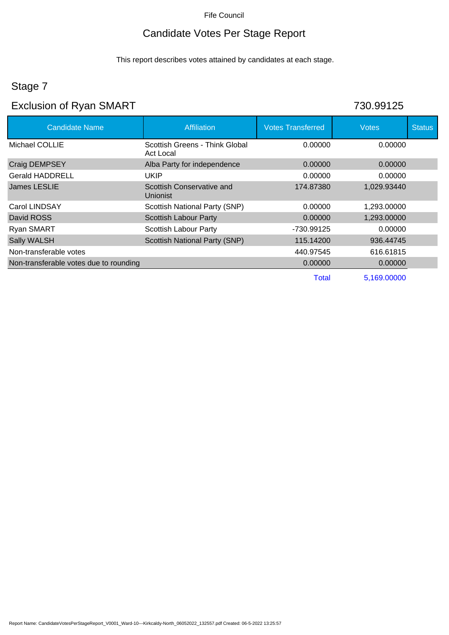# Candidate Votes Per Stage Report

This report describes votes attained by candidates at each stage.

# Stage 7

# Exclusion of Ryan SMART 730.99125

| <b>Candidate Name</b>                  | <b>Affiliation</b>                          | <b>Votes Transferred</b> | <b>Votes</b> | <b>Status</b> |
|----------------------------------------|---------------------------------------------|--------------------------|--------------|---------------|
| Michael COLLIE                         | Scottish Greens - Think Global<br>Act Local | 0.00000                  | 0.00000      |               |
| <b>Craig DEMPSEY</b>                   | Alba Party for independence                 | 0.00000                  | 0.00000      |               |
| <b>Gerald HADDRELL</b>                 | UKIP                                        | 0.00000                  | 0.00000      |               |
| James LESLIE                           | Scottish Conservative and<br>Unionist       | 174.87380                | 1,029.93440  |               |
| Carol LINDSAY                          | <b>Scottish National Party (SNP)</b>        | 0.00000                  | 1,293.00000  |               |
| David ROSS                             | <b>Scottish Labour Party</b>                | 0.00000                  | 1,293.00000  |               |
| Ryan SMART                             | Scottish Labour Party                       | -730.99125               | 0.00000      |               |
| Sally WALSH                            | Scottish National Party (SNP)               | 115.14200                | 936.44745    |               |
| Non-transferable votes                 |                                             | 440.97545                | 616.61815    |               |
| Non-transferable votes due to rounding |                                             | 0.00000                  | 0.00000      |               |
|                                        |                                             | Total                    | 5,169.00000  |               |